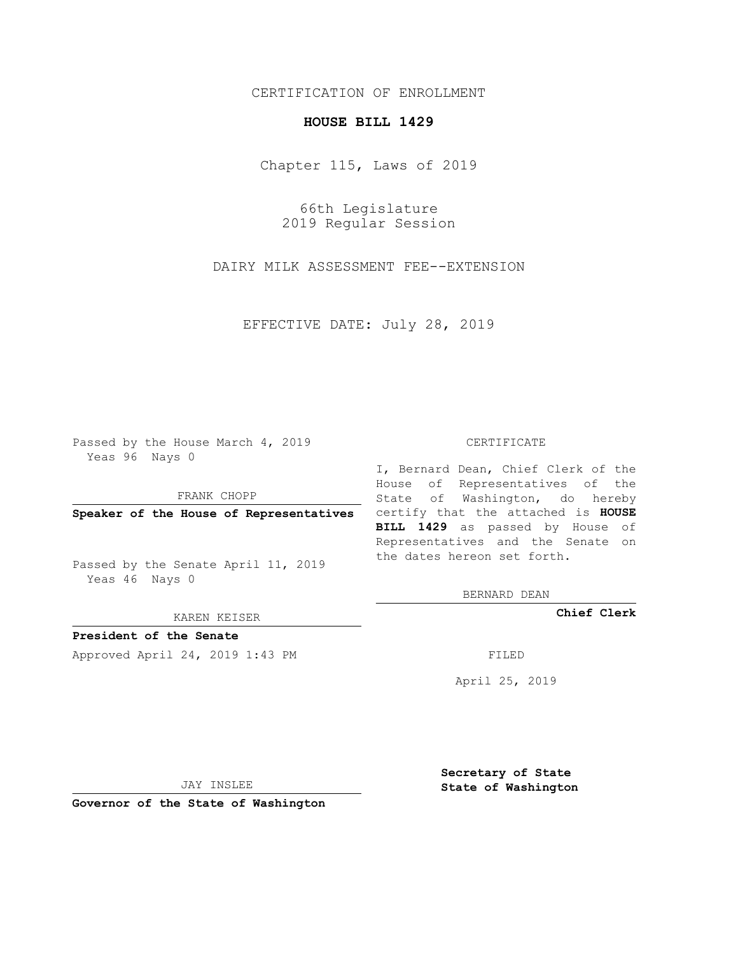## CERTIFICATION OF ENROLLMENT

## **HOUSE BILL 1429**

Chapter 115, Laws of 2019

66th Legislature 2019 Regular Session

DAIRY MILK ASSESSMENT FEE--EXTENSION

EFFECTIVE DATE: July 28, 2019

Passed by the House March 4, 2019 Yeas 96 Nays 0

FRANK CHOPP

Passed by the Senate April 11, 2019 Yeas 46 Nays 0

KAREN KEISER

**President of the Senate**

Approved April 24, 2019 1:43 PM FILED

## CERTIFICATE

**Speaker of the House of Representatives** certify that the attached is **HOUSE** I, Bernard Dean, Chief Clerk of the House of Representatives of the State of Washington, do hereby **BILL 1429** as passed by House of Representatives and the Senate on the dates hereon set forth.

BERNARD DEAN

**Chief Clerk**

April 25, 2019

JAY INSLEE

**Governor of the State of Washington**

**Secretary of State State of Washington**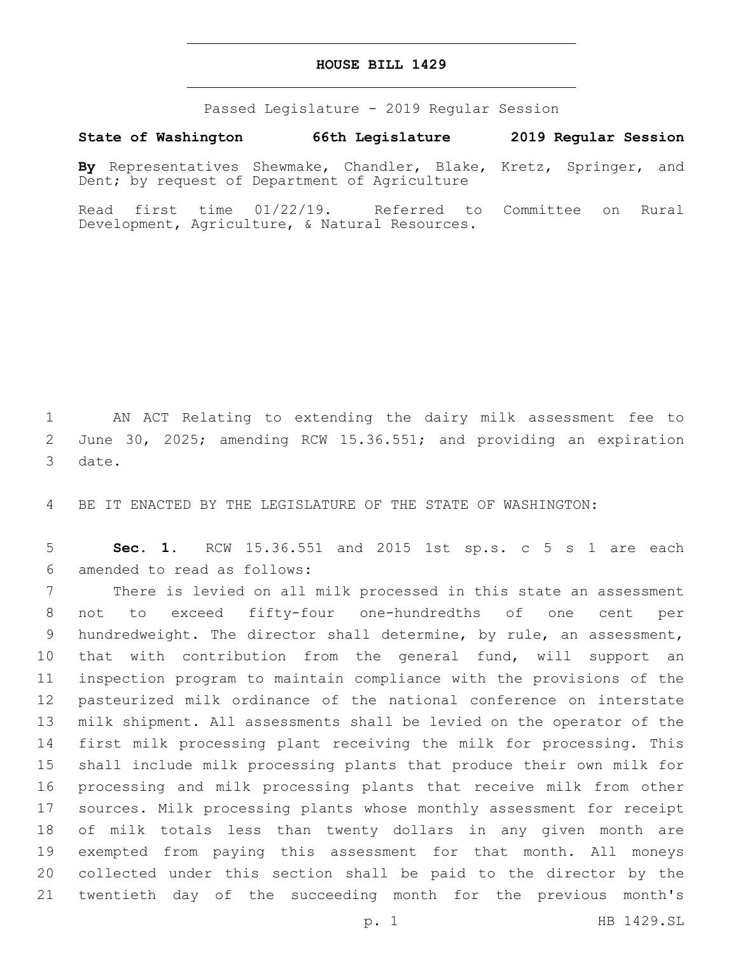## **HOUSE BILL 1429**

Passed Legislature - 2019 Regular Session

**State of Washington 66th Legislature 2019 Regular Session By** Representatives Shewmake, Chandler, Blake, Kretz, Springer, and Dent; by request of Department of Agriculture

Read first time 01/22/19. Referred to Committee on Rural Development, Agriculture, & Natural Resources.

 AN ACT Relating to extending the dairy milk assessment fee to June 30, 2025; amending RCW 15.36.551; and providing an expiration 3 date.

BE IT ENACTED BY THE LEGISLATURE OF THE STATE OF WASHINGTON:

 **Sec. 1.** RCW 15.36.551 and 2015 1st sp.s. c 5 s 1 are each amended to read as follows:6

 There is levied on all milk processed in this state an assessment not to exceed fifty-four one-hundredths of one cent per hundredweight. The director shall determine, by rule, an assessment, that with contribution from the general fund, will support an inspection program to maintain compliance with the provisions of the pasteurized milk ordinance of the national conference on interstate milk shipment. All assessments shall be levied on the operator of the first milk processing plant receiving the milk for processing. This shall include milk processing plants that produce their own milk for processing and milk processing plants that receive milk from other sources. Milk processing plants whose monthly assessment for receipt of milk totals less than twenty dollars in any given month are exempted from paying this assessment for that month. All moneys collected under this section shall be paid to the director by the twentieth day of the succeeding month for the previous month's

p. 1 HB 1429.SL